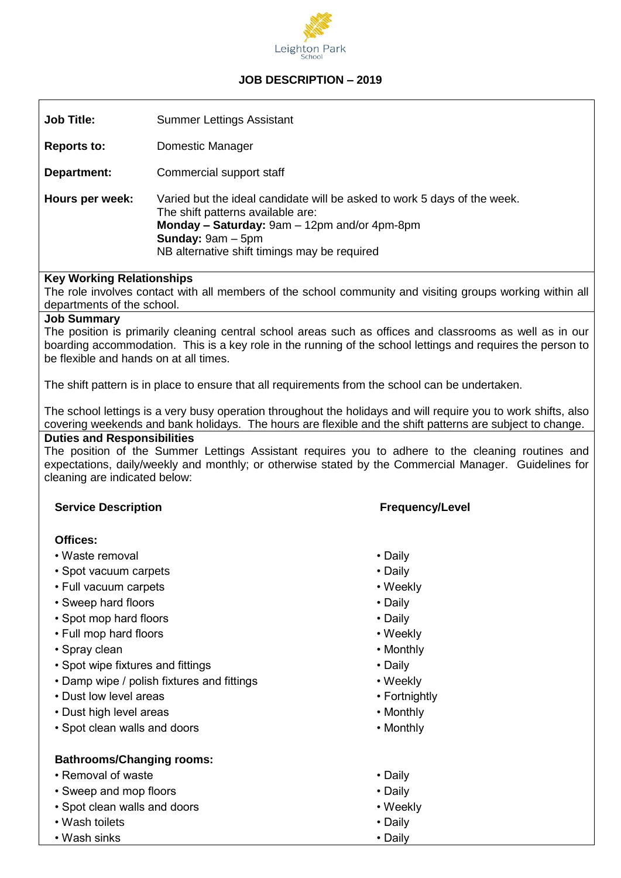

# **JOB DESCRIPTION – 2019**

| <b>Job Title:</b>  | <b>Summer Lettings Assistant</b>                                                                                                                                                                                                            |
|--------------------|---------------------------------------------------------------------------------------------------------------------------------------------------------------------------------------------------------------------------------------------|
| <b>Reports to:</b> | Domestic Manager                                                                                                                                                                                                                            |
| Department:        | Commercial support staff                                                                                                                                                                                                                    |
| Hours per week:    | Varied but the ideal candidate will be asked to work 5 days of the week.<br>The shift patterns available are:<br>Monday - Saturday: 9am - 12pm and/or 4pm-8pm<br><b>Sunday:</b> $9am - 5pm$<br>NB alternative shift timings may be required |

#### **Key Working Relationships**

The role involves contact with all members of the school community and visiting groups working within all departments of the school.

#### **Job Summary**

The position is primarily cleaning central school areas such as offices and classrooms as well as in our boarding accommodation. This is a key role in the running of the school lettings and requires the person to be flexible and hands on at all times.

The shift pattern is in place to ensure that all requirements from the school can be undertaken.

The school lettings is a very busy operation throughout the holidays and will require you to work shifts, also covering weekends and bank holidays. The hours are flexible and the shift patterns are subject to change. **Duties and Responsibilities** 

The position of the Summer Lettings Assistant requires you to adhere to the cleaning routines and expectations, daily/weekly and monthly; or otherwise stated by the Commercial Manager. Guidelines for cleaning are indicated below:

#### **Service Description Frequency/Level**

#### **Offices:**

- Waste removal Daily
- Spot vacuum carpets Daily
- Full vacuum carpets Veekly
- Sweep hard floors **Daily**
- Spot mop hard floors Daily
- Full mop hard floors Weekly
- Spray clean Monthly
- Spot wipe fixtures and fittings  **Call and Figure 1 Daily** Daily
- Damp wipe / polish fixtures and fittings  **Weekly**
- Dust low level areas Fortnightly
- Dust high level areas Monthly
- Spot clean walls and doors Nonthly

## **Bathrooms/Changing rooms:**

- Removal of waste **Daily**
- Sweep and mop floors  **Daily**
- Spot clean walls and doors Weekly
- Wash toilets Note that the property of the property of the pair of the pair of the pair of the pair of the pair of the pair of the pair of the pair of the pair of the pair of the pair of the pair of the pair of the pai
- Wash sinks Daily

- 
- 
- 
- 
- 
- 
- 
- 
- 
- 
- 
- 
- 
- 
- 
- 
-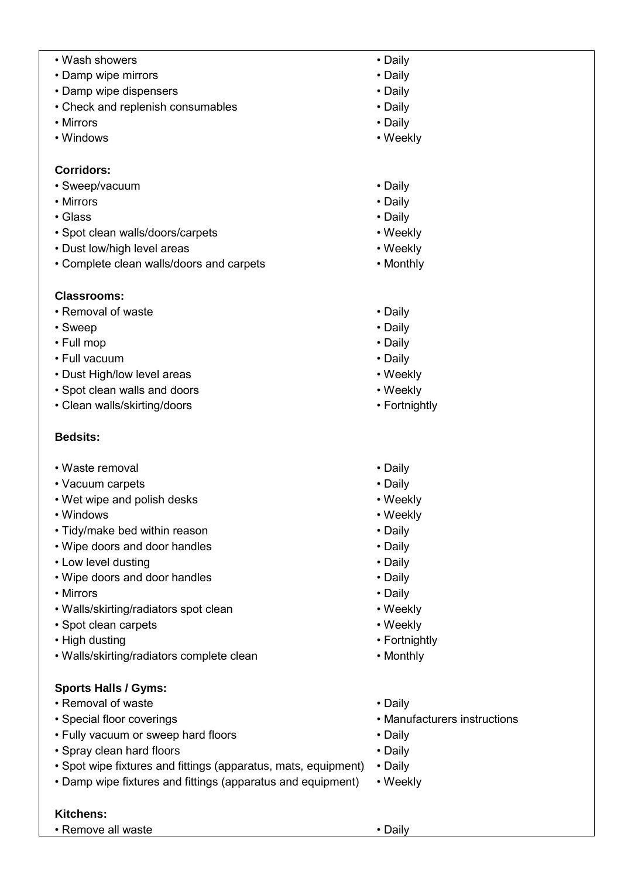- Wash showers **Wash showers Daily**
- Damp wipe mirrors Daily
- Damp wipe dispensers Daily
- Check and replenish consumables Check and replenish consumables
- Mirrors Daily
- Windows Weekly

## **Corridors:**

- Sweep/vacuum **Daily**
- Mirrors Daily
- Glass Daily
- Spot clean walls/doors/carpets Weekly
- Dust low/high level areas Neekly
- Complete clean walls/doors and carpets Monthly

# **Classrooms:**

- Removal of waste Daily
- Sweep **Sweep Sweep Sweep Sweep Sweep Daily**
- Full mop Daily
- Full vacuum **Daily**
- Dust High/low level areas Weekly
- Spot clean walls and doors Weekly
- Clean walls/skirting/doors The example of the example of the example of the example of the example of the example of the example of the example of the example of the example of the example of the example of the example

# **Bedsits:**

- Waste removal Daily
- Vacuum carpets Daily
- Wet wipe and polish desks Weekly
- Windows Windows Weekly Weekly Weekly Weekly Weekly Weekly Weekly Weekly Weekly Weekly  $\mathcal{P}$
- Tidy/make bed within reason Daily
- Wipe doors and door handles Daily
- Low level dusting example to the contract of the Daily
- Wipe doors and door handles Daily
- Mirrors Daily
- Walls/skirting/radiators spot clean Weekly
- Spot clean carpets Weekly
- High dusting  **Fortnightly**
- Walls/skirting/radiators complete clean Monthly

# **Sports Halls / Gyms:**

- Removal of waste Daily
- 
- Fully vacuum or sweep hard floors The value of the Daily
- Spray clean hard floors Daily
- Spot wipe fixtures and fittings (apparatus, mats, equipment) Daily
- Damp wipe fixtures and fittings (apparatus and equipment) Weekly

## **Kitchens:**

• Remove all waste **• All and Southern Figure 1**  $\bullet$  Daily

- 
- 
- 
- 
- 
- 
- 
- 
- 
- 
- 
- 
- 
- 
- 
- 
- 
- 
- 
- 
- 
- 
- 
- 
- 
- 
- 
- 
- 
- 
- 
- 
- 
- Special floor coverings Manufacturers instructions
	-
	-
	-
	- -
- 
- 
-